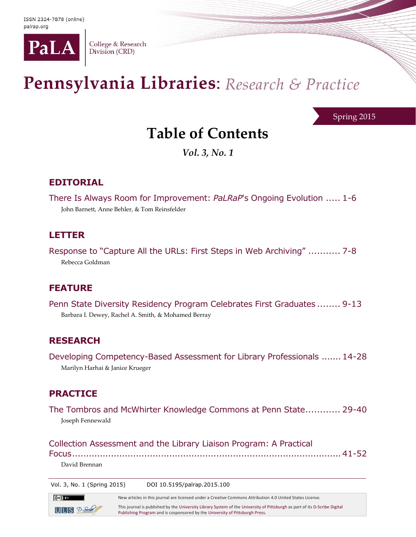

College & Research Division (CRD)

# Pennsylvania Libraries: Research & Practice

Spring 2015

# **Table of Contents**

*Vol. 3, No. 1*

### **EDITORIAL**

There Is Always Room for Improvement: *PaLRaP*'s Ongoing Evolution ..... 1-6 John Barnett, Anne Behler, & Tom Reinsfelder

#### **LETTER**

Response to "Capture All the URLs: First Steps in Web Archiving" ........... 7-8 Rebecca Goldman

#### **FEATURE**

Penn State Diversity Residency Program Celebrates First Graduates ........ 9-13 Barbara I. Dewey, Rachel A. Smith, & Mohamed Berray

#### **RESEARCH**

Developing Competency-Based Assessment for Library Professionals .......14-28 Marilyn Harhai & Janice Krueger

#### **PRACTICE**

 $(cc)$  BY

 $UILIS$   $2-5$ 

The Tombros and McWhirter Knowledge Commons at Penn State............ 29-40 Joseph Fennewald

Collection Assessment and the Library Liaison Program: A Practical Focus.................................................................................................41-52 David Brennan

Vol. 3, No. 1 (Spring 2015) DOI 10.5195/palrap.2015.100

New articles in this journal are licensed under a Creative Commons Attribution 4.0 United States License. This journal is published by th[e University Library System](http://www.library.pitt.edu/) of th[e University of Pittsburgh](http://www.pitt.edu/) as part of it[s D-Scribe Digital](http://www.library.pitt.edu/d-scribe-digital-collections)  [Publishing Program](http://www.library.pitt.edu/d-scribe-digital-collections) and is cosponsored by th[e University of Pittsburgh Press.](http://upress.pitt.edu/)